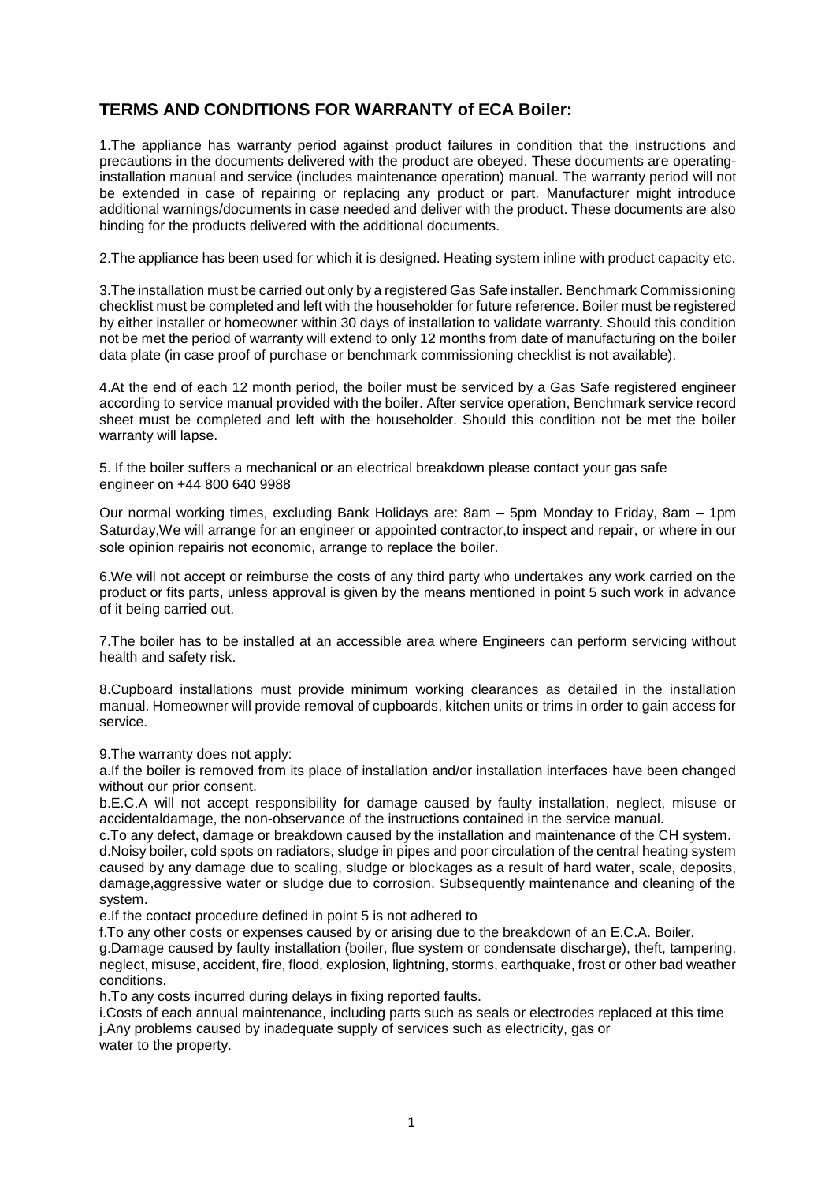## **TERMS AND CONDITIONS FOR WARRANTY of ECA Boiler:**

1.The appliance has warranty period against product failures in condition that the instructions and precautions in the documents delivered with the product are obeyed. These documents are operatinginstallation manual and service (includes maintenance operation) manual. The warranty period will not be extended in case of repairing or replacing any product or part. Manufacturer might introduce additional warnings/documents in case needed and deliver with the product. These documents are also binding for the products delivered with the additional documents.

2.The appliance has been used for which it is designed. Heating system inline with product capacity etc.

3.The installation must be carried out only by a registered Gas Safe installer. Benchmark Commissioning checklist must be completed and left with the householder for future reference. Boiler must be registered by either installer or homeowner within 30 days of installation to validate warranty. Should this condition not be met the period of warranty will extend to only 12 months from date of manufacturing on the boiler data plate (in case proof of purchase or benchmark commissioning checklist is not available).

4.At the end of each 12 month period, the boiler must be serviced by a Gas Safe registered engineer according to service manual provided with the boiler. After service operation, Benchmark service record sheet must be completed and left with the householder. Should this condition not be met the boiler warranty will lapse.

5. If the boiler suffers a mechanical or an electrical breakdown please contact your gas safe engineer on +44 800 640 9988

Our normal working times, excluding Bank Holidays are: 8am – 5pm Monday to Friday, 8am – 1pm Saturday,We will arrange for an engineer or appointed contractor,to inspect and repair, or where in our sole opinion repairis not economic, arrange to replace the boiler.

6.We will not accept or reimburse the costs of any third party who undertakes any work carried on the product or fits parts, unless approval is given by the means mentioned in point 5 such work in advance of it being carried out.

7.The boiler has to be installed at an accessible area where Engineers can perform servicing without health and safety risk.

8.Cupboard installations must provide minimum working clearances as detailed in the installation manual. Homeowner will provide removal of cupboards, kitchen units or trims in order to gain access for service.

9.The warranty does not apply:

a.If the boiler is removed from its place of installation and/or installation interfaces have been changed without our prior consent.

b.E.C.A will not accept responsibility for damage caused by faulty installation, neglect, misuse or accidentaldamage, the non-observance of the instructions contained in the service manual.

c.To any defect, damage or breakdown caused by the installation and maintenance of the CH system. d.Noisy boiler, cold spots on radiators, sludge in pipes and poor circulation of the central heating system caused by any damage due to scaling, sludge or blockages as a result of hard water, scale, deposits, damage,aggressive water or sludge due to corrosion. Subsequently maintenance and cleaning of the system.

e.If the contact procedure defined in point 5 is not adhered to

f.To any other costs or expenses caused by or arising due to the breakdown of an E.C.A. Boiler.

g.Damage caused by faulty installation (boiler, flue system or condensate discharge), theft, tampering, neglect, misuse, accident, fire, flood, explosion, lightning, storms, earthquake, frost or other bad weather conditions.

h.To any costs incurred during delays in fixing reported faults.

i.Costs of each annual maintenance, including parts such as seals or electrodes replaced at this time j.Any problems caused by inadequate supply of services such as electricity, gas or water to the property.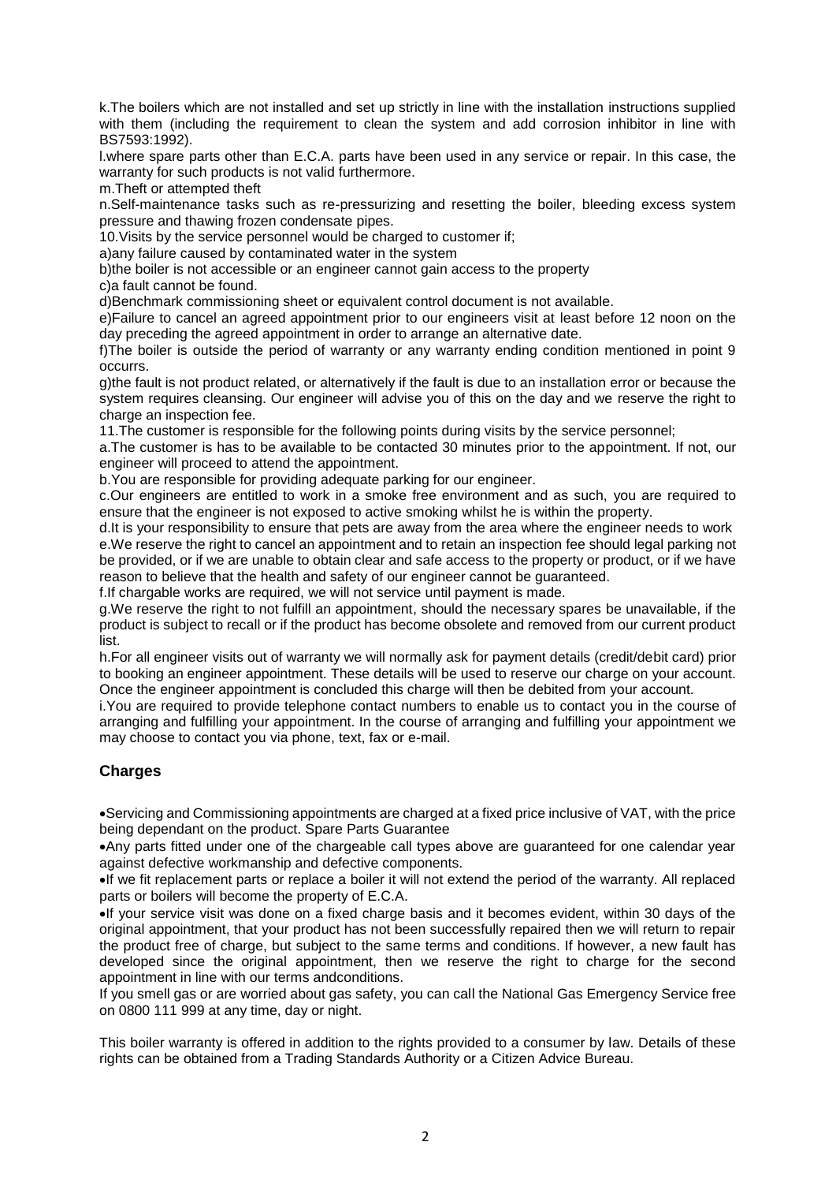k.The boilers which are not installed and set up strictly in line with the installation instructions supplied with them (including the requirement to clean the system and add corrosion inhibitor in line with BS7593:1992).

l.where spare parts other than E.C.A. parts have been used in any service or repair. In this case, the warranty for such products is not valid furthermore.

m.Theft or attempted theft

n.Self-maintenance tasks such as re-pressurizing and resetting the boiler, bleeding excess system pressure and thawing frozen condensate pipes.

10.Visits by the service personnel would be charged to customer if;

a)any failure caused by contaminated water in the system

b)the boiler is not accessible or an engineer cannot gain access to the property

c)a fault cannot be found.

d)Benchmark commissioning sheet or equivalent control document is not available.

e)Failure to cancel an agreed appointment prior to our engineers visit at least before 12 noon on the day preceding the agreed appointment in order to arrange an alternative date.

f)The boiler is outside the period of warranty or any warranty ending condition mentioned in point 9 occurrs.

g)the fault is not product related, or alternatively if the fault is due to an installation error or because the system requires cleansing. Our engineer will advise you of this on the day and we reserve the right to charge an inspection fee.

11.The customer is responsible for the following points during visits by the service personnel;

a.The customer is has to be available to be contacted 30 minutes prior to the appointment. If not, our engineer will proceed to attend the appointment.

b.You are responsible for providing adequate parking for our engineer.

c.Our engineers are entitled to work in a smoke free environment and as such, you are required to ensure that the engineer is not exposed to active smoking whilst he is within the property.

d.It is your responsibility to ensure that pets are away from the area where the engineer needs to work e.We reserve the right to cancel an appointment and to retain an inspection fee should legal parking not be provided, or if we are unable to obtain clear and safe access to the property or product, or if we have reason to believe that the health and safety of our engineer cannot be guaranteed.

f.If chargable works are required, we will not service until payment is made.

g.We reserve the right to not fulfill an appointment, should the necessary spares be unavailable, if the product is subject to recall or if the product has become obsolete and removed from our current product list.

h.For all engineer visits out of warranty we will normally ask for payment details (credit/debit card) prior to booking an engineer appointment. These details will be used to reserve our charge on your account. Once the engineer appointment is concluded this charge will then be debited from your account.

i.You are required to provide telephone contact numbers to enable us to contact you in the course of arranging and fulfilling your appointment. In the course of arranging and fulfilling your appointment we may choose to contact you via phone, text, fax or e-mail.

## **Charges**

Servicing and Commissioning appointments are charged at a fixed price inclusive of VAT, with the price being dependant on the product. Spare Parts Guarantee

Any parts fitted under one of the chargeable call types above are guaranteed for one calendar year against defective workmanship and defective components.

If we fit replacement parts or replace a boiler it will not extend the period of the warranty. All replaced parts or boilers will become the property of E.C.A.

If your service visit was done on a fixed charge basis and it becomes evident, within 30 days of the original appointment, that your product has not been successfully repaired then we will return to repair the product free of charge, but subject to the same terms and conditions. If however, a new fault has developed since the original appointment, then we reserve the right to charge for the second appointment in line with our terms andconditions.

If you smell gas or are worried about gas safety, you can call the National Gas Emergency Service free on 0800 111 999 at any time, day or night.

This boiler warranty is offered in addition to the rights provided to a consumer by law. Details of these rights can be obtained from a Trading Standards Authority or a Citizen Advice Bureau.